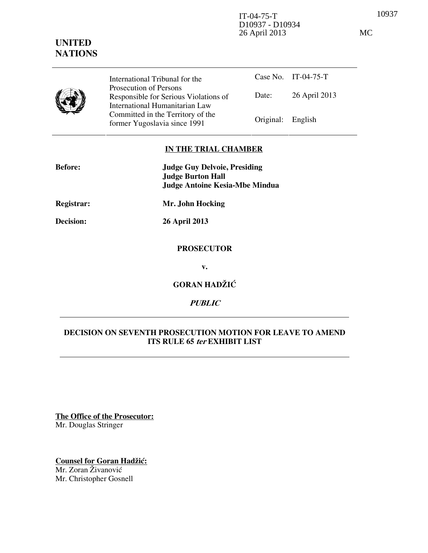10937 IT-04-75-T D10937 - D10934 26 April 2013 MC

|  | International Tribunal for the                                                                    |                   | Case No. IT-04-75-T |
|--|---------------------------------------------------------------------------------------------------|-------------------|---------------------|
|  | Prosecution of Persons<br>Responsible for Serious Violations of<br>International Humanitarian Law | Date:             | 26 April 2013       |
|  | Committed in the Territory of the<br>former Yugoslavia since 1991                                 | Original: English |                     |

### **IN THE TRIAL CHAMBER**

| <b>Before:</b> | <b>Judge Guy Delvoie, Presiding</b>   |  |  |
|----------------|---------------------------------------|--|--|
|                | <b>Judge Burton Hall</b>              |  |  |
|                | <b>Judge Antoine Kesia-Mbe Mindua</b> |  |  |
| Registrar:     | Mr. John Hocking                      |  |  |
| Decision:      | 26 April 2013                         |  |  |
|                | <b>PROSECUTOR</b>                     |  |  |
|                | v.                                    |  |  |
|                | <b>GORAN HADŽIĆ</b>                   |  |  |
|                | <i>PUBLIC</i>                         |  |  |

# **DECISION ON SEVENTH PROSECUTION MOTION FOR LEAVE TO AMEND ITS RULE 65 ter EXHIBIT LIST**

**The Office of the Prosecutor:** Mr. Douglas Stringer

**Counsel for Goran Hadžić:** Mr. Zoran Živanović Mr. Christopher Gosnell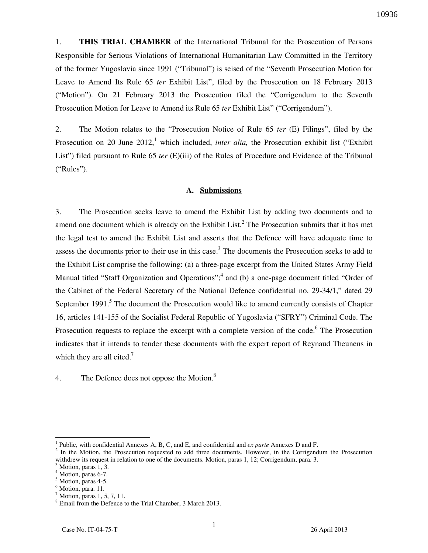1. **THIS TRIAL CHAMBER** of the International Tribunal for the Prosecution of Persons Responsible for Serious Violations of International Humanitarian Law Committed in the Territory of the former Yugoslavia since 1991 ("Tribunal") is seised of the "Seventh Prosecution Motion for Leave to Amend Its Rule 65 *ter* Exhibit List", filed by the Prosecution on 18 February 2013 ("Motion"). On 21 February 2013 the Prosecution filed the "Corrigendum to the Seventh Prosecution Motion for Leave to Amend its Rule 65 *ter* Exhibit List" ("Corrigendum").

2. The Motion relates to the "Prosecution Notice of Rule 65 *ter* (E) Filings", filed by the Prosecution on 20 June 2012,<sup>1</sup> which included, *inter alia*, the Prosecution exhibit list ("Exhibit") List") filed pursuant to Rule 65 *ter* (E)(iii) of the Rules of Procedure and Evidence of the Tribunal ("Rules").

### **A. Submissions**

3. The Prosecution seeks leave to amend the Exhibit List by adding two documents and to amend one document which is already on the Exhibit List.<sup>2</sup> The Prosecution submits that it has met the legal test to amend the Exhibit List and asserts that the Defence will have adequate time to assess the documents prior to their use in this case.<sup>3</sup> The documents the Prosecution seeks to add to the Exhibit List comprise the following: (a) a three-page excerpt from the United States Army Field Manual titled "Staff Organization and Operations";<sup>4</sup> and (b) a one-page document titled "Order of the Cabinet of the Federal Secretary of the National Defence confidential no. 29-34/1," dated 29 September 1991.<sup>5</sup> The document the Prosecution would like to amend currently consists of Chapter 16, articles 141-155 of the Socialist Federal Republic of Yugoslavia ("SFRY") Criminal Code. The Prosecution requests to replace the excerpt with a complete version of the code.<sup>6</sup> The Prosecution indicates that it intends to tender these documents with the expert report of Reynaud Theunens in which they are all cited.<sup>7</sup>

4. The Defence does not oppose the Motion.<sup>8</sup>

 $\overline{a}$ 

<sup>1</sup> Public, with confidential Annexes A, B, C, and E, and confidential and *ex parte* Annexes D and F.

 $2 \text{ In the Motion, the Prosection requested to add three documents. However, in the Corrigendum the Prosection.}$ withdrew its request in relation to one of the documents. Motion, paras 1, 12; Corrigendum, para. 3.

<sup>3</sup> Motion, paras 1, 3.

<sup>4</sup> Motion, paras 6-7.

<sup>5</sup> Motion, paras 4-5.

<sup>&</sup>lt;sup>6</sup> Motion, para. 11.

<sup>7</sup> Motion, paras 1, 5, 7, 11.

<sup>&</sup>lt;sup>8</sup> Email from the Defence to the Trial Chamber, 3 March 2013.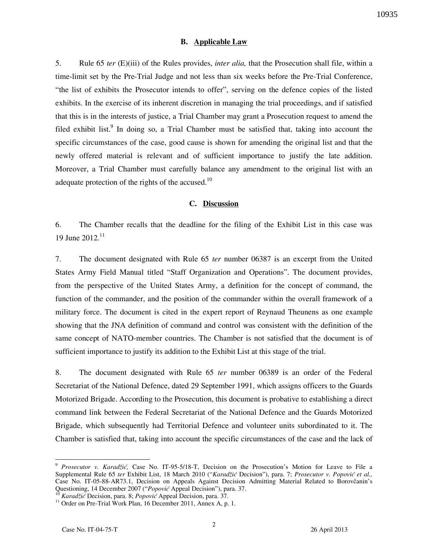#### **B. Applicable Law**

5. Rule 65 *ter* (E)(iii) of the Rules provides, *inter alia,* that the Prosecution shall file, within a time-limit set by the Pre-Trial Judge and not less than six weeks before the Pre-Trial Conference, "the list of exhibits the Prosecutor intends to offer", serving on the defence copies of the listed exhibits. In the exercise of its inherent discretion in managing the trial proceedings, and if satisfied that this is in the interests of justice, a Trial Chamber may grant a Prosecution request to amend the filed exhibit list.<sup>9</sup> In doing so, a Trial Chamber must be satisfied that, taking into account the specific circumstances of the case, good cause is shown for amending the original list and that the newly offered material is relevant and of sufficient importance to justify the late addition. Moreover, a Trial Chamber must carefully balance any amendment to the original list with an adequate protection of the rights of the accused.<sup>10</sup>

#### **C. Discussion**

6. The Chamber recalls that the deadline for the filing of the Exhibit List in this case was 19 June  $2012$ <sup>11</sup>

7. The document designated with Rule 65 *ter* number 06387 is an excerpt from the United States Army Field Manual titled "Staff Organization and Operations". The document provides, from the perspective of the United States Army, a definition for the concept of command, the function of the commander, and the position of the commander within the overall framework of a military force. The document is cited in the expert report of Reynaud Theunens as one example showing that the JNA definition of command and control was consistent with the definition of the same concept of NATO-member countries. The Chamber is not satisfied that the document is of sufficient importance to justify its addition to the Exhibit List at this stage of the trial.

8. The document designated with Rule 65 *ter* number 06389 is an order of the Federal Secretariat of the National Defence, dated 29 September 1991, which assigns officers to the Guards Motorized Brigade. According to the Prosecution, this document is probative to establishing a direct command link between the Federal Secretariat of the National Defence and the Guards Motorized Brigade, which subsequently had Territorial Defence and volunteer units subordinated to it. The Chamber is satisfied that, taking into account the specific circumstances of the case and the lack of

<sup>10</sup> *Karadžić* Decision, para. 8; *Popović* Appeal Decision, para. 37.

 $\overline{a}$ 

<sup>9</sup> *Prosecutor v. Karadžić,* Case No. IT-95-5/18-T, Decision on the Prosecution's Motion for Leave to File a Supplemental Rule 65 *ter* Exhibit List, 18 March 2010 ("*Karadžić* Decision"), para. 7; *Prosecutor v. Popović et al.,*  Case No. IT-05-88-AR73.1, Decision on Appeals Against Decision Admitting Material Related to Borovčanin's Questioning, 14 December 2007 ("*Popović* Appeal Decision"), para. 37.

<sup>&</sup>lt;sup>11</sup> Order on Pre-Trial Work Plan, 16 December 2011, Annex A, p. 1.